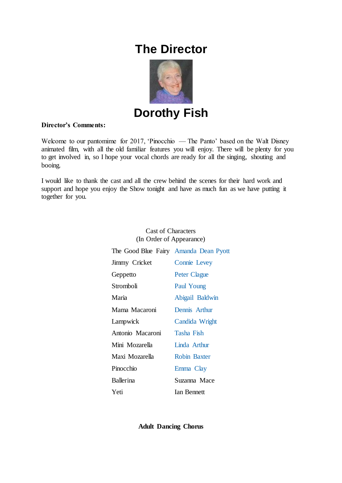# **The Director**



**Dorothy Fish**

## **Director's Comments:**

Welcome to our pantomime for 2017, 'Pinocchio — The Panto' based on the Walt Disney animated film, with all the old familiar features you will enjoy. There will be plenty for you to get involved in, so I hope your vocal chords are ready for all the singing, shouting and booing.

I would like to thank the cast and all the crew behind the scenes for their hard work and support and hope you enjoy the Show tonight and have as much fun as we have putting it together for you.

| $\mu$ order of <i>I</i> appearance,   |                     |
|---------------------------------------|---------------------|
| The Good Blue Fairy Amanda Dean Pyott |                     |
| Jimmy Cricket                         | <b>Connie Levey</b> |
| Geppetto                              | <b>Peter Clague</b> |
| Stromboli                             | Paul Young          |
| Maria                                 | Abigail Baldwin     |
| Mama Macaroni                         | Dennis Arthur       |
| Lampwick                              | Candida Wright      |
| Antonio Macaroni                      | Tasha Fish          |
| Mini Mozarella                        | Linda Arthur        |
| Maxi Mozarella                        | <b>Robin Baxter</b> |
| Pinocchio                             | Emma Clay           |
| <b>Ballerina</b>                      | Suzanna Mace        |
| Yeti                                  | <b>Ian Bennett</b>  |

#### Cast of Characters (In Order of Appearance)

**Adult Dancing Chorus**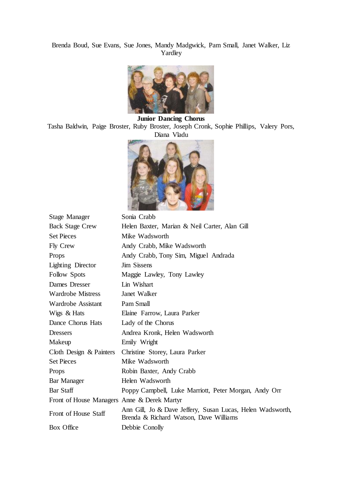## Brenda Boud, Sue Evans, Sue Jones, Mandy Madgwick, Pam Small, Janet Walker, Liz Yardley



**Junior Dancing Chorus** Tasha Baldwin, Paige Broster, Ruby Broster, Joseph Cronk, Sophie Phillips, Valery Pors, Diana Vladu



| Stage Manager                               | Sonia Crabb                                                                                          |
|---------------------------------------------|------------------------------------------------------------------------------------------------------|
| <b>Back Stage Crew</b>                      | Helen Baxter, Marian & Neil Carter, Alan Gill                                                        |
| <b>Set Pieces</b>                           | Mike Wadsworth                                                                                       |
| Fly Crew                                    | Andy Crabb, Mike Wadsworth                                                                           |
| Props                                       | Andy Crabb, Tony Sim, Miguel Andrada                                                                 |
| Lighting Director                           | <b>Jim Sissens</b>                                                                                   |
| Follow Spots                                | Maggie Lawley, Tony Lawley                                                                           |
| Dames Dresser                               | Lin Wishart                                                                                          |
| <b>Wardrobe Mistress</b>                    | Janet Walker                                                                                         |
| Wardrobe Assistant                          | Pam Small                                                                                            |
| Wigs & Hats                                 | Elaine Farrow, Laura Parker                                                                          |
| Dance Chorus Hats                           | Lady of the Chorus                                                                                   |
| <b>Dressers</b>                             | Andrea Kronk, Helen Wadsworth                                                                        |
| Makeup                                      | Emily Wright                                                                                         |
| Cloth Design $&$ Painters                   | Christine Storey, Laura Parker                                                                       |
| <b>Set Pieces</b>                           | Mike Wadsworth                                                                                       |
| Props                                       | Robin Baxter, Andy Crabb                                                                             |
| Bar Manager                                 | Helen Wadsworth                                                                                      |
| Bar Staff                                   | Poppy Campbell, Luke Marriott, Peter Morgan, Andy Orr                                                |
| Front of House Managers Anne & Derek Martyr |                                                                                                      |
| Front of House Staff                        | Ann Gill, Jo & Dave Jeffery, Susan Lucas, Helen Wadsworth,<br>Brenda & Richard Watson, Dave Williams |
| Box Office                                  | Debbie Conolly                                                                                       |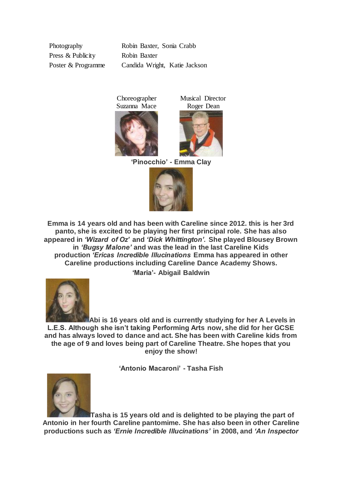Photography Robin Baxter, Sonia Crabb Press & Publicity Robin Baxter Poster & Programme Candida Wright, Katie Jackson

> Choreographer Suzanna Mace



**'Pinocchio' - Emma Clay**

Musical Director Roger Dean



**Emma is 14 years old and has been with Careline since 2012. this is her 3rd panto, she is excited to be playing her first principal role. She has also appeared in** *'Wizard of Oz'* **and** *'Dick Whittington'.* **She played Blousey Brown in** *'Bugsy Malone'* **and was the lead in the last Careline Kids production** *'Ericas Incredible Illucinations* **Emma has appeared in other Careline productions including Careline Dance Academy Shows. 'Maria'- Abigail Baldwin**



**Abi is 16 years old and is currently studying for her A Levels in L.E.S. Although she isn't taking Performing Arts now, she did for her GCSE and has always loved to dance and act. She has been with Careline kids from the age of 9 and loves being part of Careline Theatre. She hopes that you enjoy the show!**

**'Antonio Macaroni' - Tasha Fish**



**Tasha is 15 years old and is delighted to be playing the part of Antonio in her fourth Careline pantomime. She has also been in other Careline productions such as** *'Ernie Incredible Illucinations'* **in 2008, and** *'An Inspector*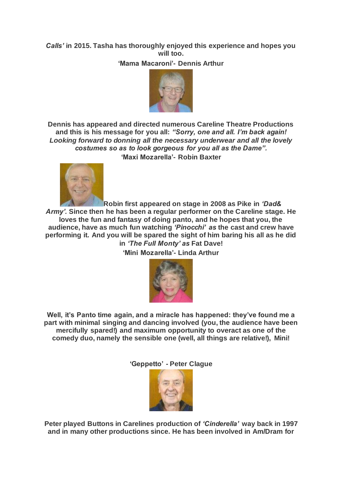# *Calls'* **in 2015. Tasha has thoroughly enjoyed this experience and hopes you will too.**

**'Mama Macaroni'- Dennis Arthur**



**Dennis has appeared and directed numerous Careline Theatre Productions and this is his message for you all:** *"Sorry, one and all. I'm back again! Looking forward to donning all the necessary underwear and all the lovely costumes so as to look gorgeous for you all as the Dame".* **'Maxi Mozarella'- Robin Baxter**



**Robin first appeared on stage in 2008 as Pike in** *'Dad& Army'.* **Since then he has been a regular performer on the Careline stage. He loves the fun and fantasy of doing panto, and he hopes that you, the audience, have as much fun watching** *'Pinocchi' as* **the cast and crew have performing it. And you will be spared the sight of him baring his all as he did in** *'The Full Monty' as* **Fat Dave!**

**'Mini Mozarella'- Linda Arthur**



**Well, it's Panto time again, and a miracle has happened: they've found me a part with minimal singing and dancing involved (you, the audience have been mercifully spared!) and maximum opportunity to overact as one of the comedy duo, namely the sensible one (well, all things are relative!), Mini!**

**'Geppetto' - Peter Clague**



**Peter played Buttons in Carelines production of** *'Cinderella'* **way back in 1997 and in many other productions since. He has been involved in Am/Dram for**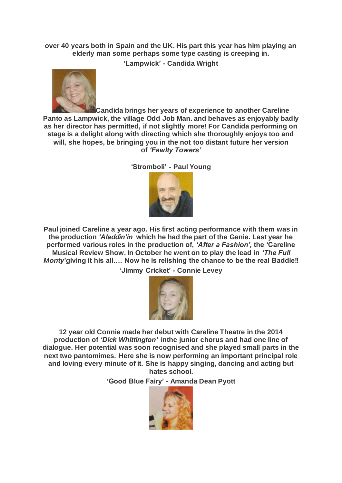**over 40 years both in Spain and the UK. His part this year has him playing an elderly man some perhaps some type casting is creeping in.**

**'Lampwick' - Candida Wright**



**Candida brings her years of experience to another Careline Panto as Lampwick, the village Odd Job Man. and behaves as enjoyably badly as her director has permitted, if not slightly more! For Candida performing on stage is a delight along with directing which she thoroughly enjoys too and will, she hopes, be bringing you in the not too distant future her version of** *'Fawlty Towers'*

**'Stromboli' - Paul Young**



**Paul joined Careline a year ago. His first acting performance with them was in the production** *'Aladdin'in* **which he had the part of the Genie. Last year he performed various roles in the production of,** *'After a Fashion',* **the 'Careline Musical Review Show. In October he went on to play the lead in** *'The Full Monty***'giving it his all…. Now he is relishing the chance to be the real Baddie!!**

**'Jimmy Cricket' - Connie Levey**



**12 year old Connie made her debut with Careline Theatre in the 2014 production of** *'Dick Whittington'* **inthe junior chorus and had one line of dialogue. Her potential was soon recognised and she played small parts in the next two pantomimes. Here she is now performing an important principal role and loving every minute of it. She is happy singing, dancing and acting but hates school.**

**'Good Blue Fairy' - Amanda Dean Pyott**